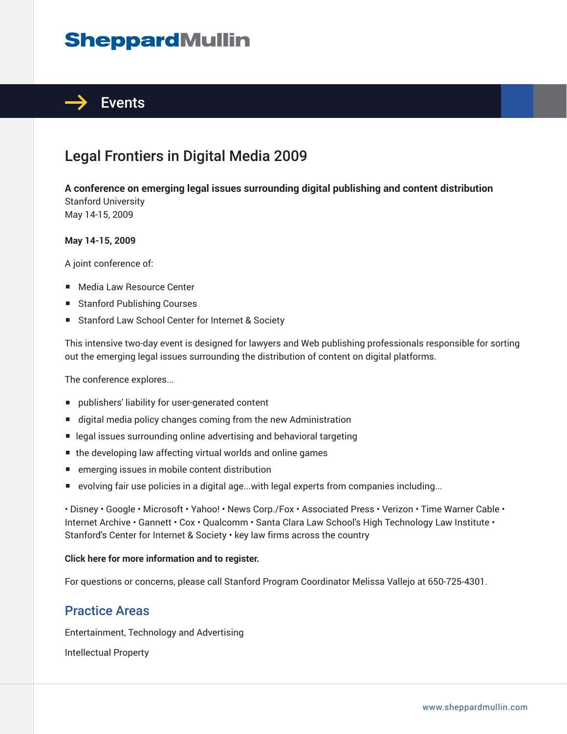## **SheppardMullin**



## Legal Frontiers in Digital Media 2009

**A conference on emerging legal issues surrounding digital publishing and content distribution** Stanford University May 14-15, 2009

#### **May 14-15, 2009**

A joint conference of:

- Media Law Resource Center
- Stanford Publishing Courses
- Stanford Law School Center for Internet & Society

This intensive two-day event is designed for lawyers and Web publishing professionals responsible for sorting out the emerging legal issues surrounding the distribution of content on digital platforms.

The conference explores...

- publishers' liability for user-generated content
- digital media policy changes coming from the new Administration
- legal issues surrounding online advertising and behavioral targeting
- the developing law affecting virtual worlds and online games
- emerging issues in mobile content distribution
- evolving fair use policies in a digital age...with legal experts from companies including...

• Disney • Google • Microsoft • Yahoo! • News Corp./Fox • Associated Press • Verizon • Time Warner Cable • Internet Archive • Gannett • Cox • Qualcomm • Santa Clara Law School's High Technology Law Institute • Stanford's Center for Internet & Society • key law firms across the country

#### **Click here for more information and to register.**

For questions or concerns, please call Stanford Program Coordinator Melissa Vallejo at 650-725-4301.

### Practice Areas

Entertainment, Technology and Advertising

Intellectual Property